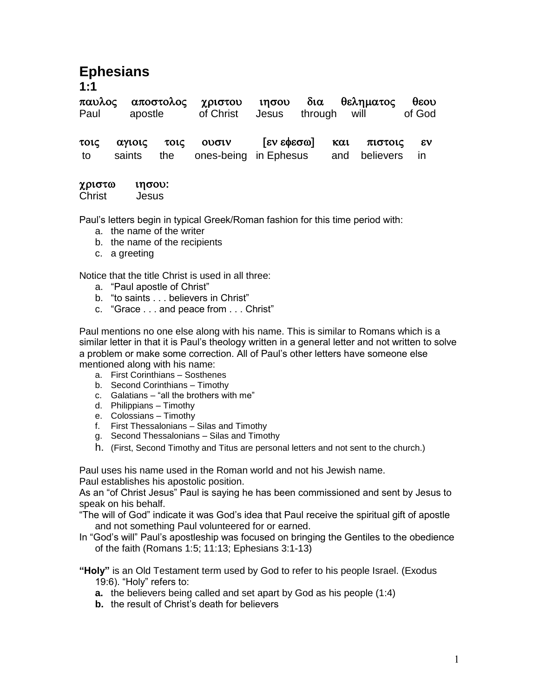# **Ephesians**

**1:1**

| παυλος αποστολος χριστου ιησου δια θεληματος θεου<br>Paul apostle of Christ Jesus through will of God |  |  |  |
|-------------------------------------------------------------------------------------------------------|--|--|--|
|                                                                                                       |  |  |  |

| τοις αγιοις τοις ουσιν |  | [εν εφεσω] και πιστοις εν                            |  |  |
|------------------------|--|------------------------------------------------------|--|--|
|                        |  | to saints the ones-being in Ephesus and believers in |  |  |

#### χριστω ιησου:

Christ Jesus

Paul's letters begin in typical Greek/Roman fashion for this time period with:

- a. the name of the writer
- b. the name of the recipients
- c. a greeting

Notice that the title Christ is used in all three:

- a. "Paul apostle of Christ"
- b. "to saints . . . believers in Christ"
- c. "Grace . . . and peace from . . . Christ"

Paul mentions no one else along with his name. This is similar to Romans which is a similar letter in that it is Paul's theology written in a general letter and not written to solve a problem or make some correction. All of Paul's other letters have someone else mentioned along with his name:

- a. First Corinthians Sosthenes
- b. Second Corinthians Timothy
- c. Galatians "all the brothers with me"
- d. Philippians Timothy
- e. Colossians Timothy
- f. First Thessalonians Silas and Timothy
- g. Second Thessalonians Silas and Timothy
- h. (First, Second Timothy and Titus are personal letters and not sent to the church.)

Paul uses his name used in the Roman world and not his Jewish name.

Paul establishes his apostolic position.

As an "of Christ Jesus" Paul is saying he has been commissioned and sent by Jesus to speak on his behalf.

"The will of God" indicate it was God's idea that Paul receive the spiritual gift of apostle and not something Paul volunteered for or earned.

In "God's will" Paul's apostleship was focused on bringing the Gentiles to the obedience of the faith (Romans 1:5; 11:13; Ephesians 3:1-13)

**"Holy"** is an Old Testament term used by God to refer to his people Israel. (Exodus 19:6). "Holy" refers to:

- **a.** the believers being called and set apart by God as his people (1:4)
- **b.** the result of Christ's death for believers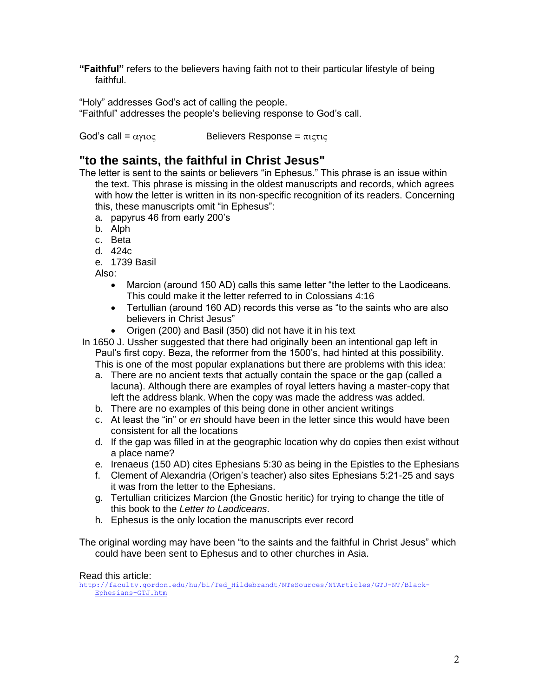**"Faithful"** refers to the believers having faith not to their particular lifestyle of being faithful.

"Holy" addresses God's act of calling the people.

"Faithful" addresses the people's believing response to God's call.

God's call =  $\alpha$ <sup>noc</sup> Believers Response =  $\pi$ ictic

### **"to the saints, the faithful in Christ Jesus"**

The letter is sent to the saints or believers "in Ephesus." This phrase is an issue within the text. This phrase is missing in the oldest manuscripts and records, which agrees with how the letter is written in its non-specific recognition of its readers. Concerning this, these manuscripts omit "in Ephesus":

- a. papyrus 46 from early 200's
- b. Alph
- c. Beta
- d. 424c
- e. 1739 Basil

Also:

- Marcion (around 150 AD) calls this same letter "the letter to the Laodiceans. This could make it the letter referred to in Colossians 4:16
- Tertullian (around 160 AD) records this verse as "to the saints who are also believers in Christ Jesus"
- Origen (200) and Basil (350) did not have it in his text

In 1650 J. Ussher suggested that there had originally been an intentional gap left in Paul's first copy. Beza, the reformer from the 1500's, had hinted at this possibility. This is one of the most popular explanations but there are problems with this idea:

- a. There are no ancient texts that actually contain the space or the gap (called a lacuna). Although there are examples of royal letters having a master-copy that left the address blank. When the copy was made the address was added.
- b. There are no examples of this being done in other ancient writings
- c. At least the "in" or *en* should have been in the letter since this would have been consistent for all the locations
- d. If the gap was filled in at the geographic location why do copies then exist without a place name?
- e. Irenaeus (150 AD) cites Ephesians 5:30 as being in the Epistles to the Ephesians
- f. Clement of Alexandria (Origen's teacher) also sites Ephesians 5:21-25 and says it was from the letter to the Ephesians.
- g. Tertullian criticizes Marcion (the Gnostic heritic) for trying to change the title of this book to the *Letter to Laodiceans*.
- h. Ephesus is the only location the manuscripts ever record

The original wording may have been "to the saints and the faithful in Christ Jesus" which could have been sent to Ephesus and to other churches in Asia.

#### Read this article:

[http://faculty.gordon.edu/hu/bi/Ted\\_Hildebrandt/NTeSources/NTArticles/GTJ-NT/Black-](http://faculty.gordon.edu/hu/bi/Ted_Hildebrandt/NTeSources/NTArticles/GTJ-NT/Black-Ephesians-GTJ.htm)[Ephesians-GTJ.htm](http://faculty.gordon.edu/hu/bi/Ted_Hildebrandt/NTeSources/NTArticles/GTJ-NT/Black-Ephesians-GTJ.htm)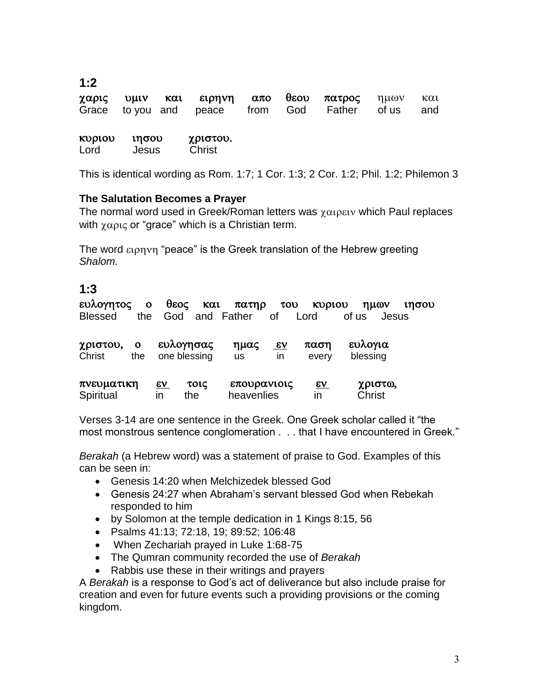**1:2**

|  | χαρις υμιν και ειρηνη απο θεου πατρος ημων και   |  |  |  |
|--|--------------------------------------------------|--|--|--|
|  | Grace to-you and peace from God Father of-us and |  |  |  |

| κυριου | ιησου | χριστου. |
|--------|-------|----------|
| Lord   | Jesus | Christ   |

This is identical wording as Rom. 1:7; 1 Cor. 1:3; 2 Cor. 1:2; Phil. 1:2; Philemon 3

#### **The Salutation Becomes a Prayer**

The normal word used in Greek/Roman letters was  $\chi_{\alpha}$ <sub>1981</sub> which Paul replaces with  $\chi \alpha \rho \iota \varsigma$  or "grace" which is a Christian term.

The word  $\epsilon_{\text{LPI}}$   $\gamma_{\text{L}}$  "peace" is the Greek translation of the Hebrew greeting *Shalom.*

### **1:3**

ευλογητος ο θεος και πατηρ του κυριου ημων ιησου Blessed the God and Father of Lord of us Jesus

| χριστου, ο | ευλογησας        | ημας <u>εν</u> |    | παση  | ευλογια  |  |
|------------|------------------|----------------|----|-------|----------|--|
| Christ     | the one blessing | us             | ın | everv | blessing |  |

| πνευματικη | <u>εν</u> | τοις | επουρανιοις | $\epsilon v$ | χριστω, |
|------------|-----------|------|-------------|--------------|---------|
| Spiritual  |           | the. | heavenlies  | ın           | Christ  |

Verses 3-14 are one sentence in the Greek. One Greek scholar called it "the most monstrous sentence conglomeration . . . that I have encountered in Greek."

*Berakah* (a Hebrew word) was a statement of praise to God. Examples of this can be seen in:

- Genesis 14:20 when Melchizedek blessed God
- Genesis 24:27 when Abraham's servant blessed God when Rebekah responded to him
- by Solomon at the temple dedication in 1 Kings 8:15, 56
- Psalms 41:13; 72:18, 19; 89:52; 106:48
- When Zechariah prayed in Luke 1:68-75
- The Qumran community recorded the use of *Berakah*
- Rabbis use these in their writings and prayers

A *Berakah* is a response to God's act of deliverance but also include praise for creation and even for future events such a providing provisions or the coming kingdom.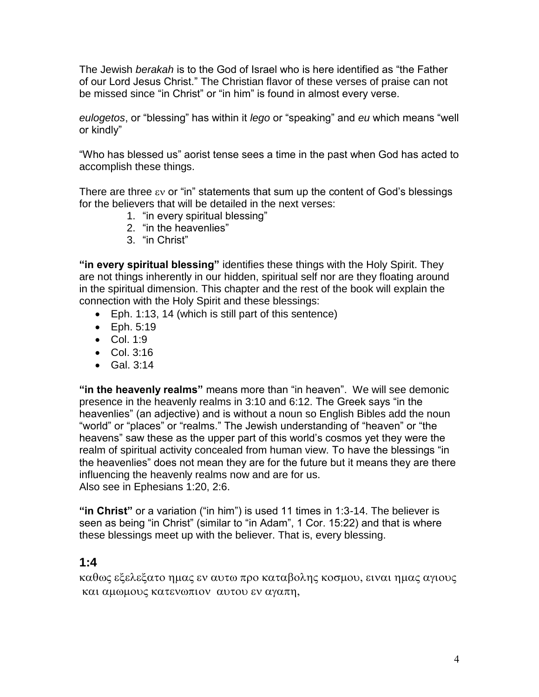The Jewish *berakah* is to the God of Israel who is here identified as "the Father of our Lord Jesus Christ." The Christian flavor of these verses of praise can not be missed since "in Christ" or "in him" is found in almost every verse.

*eulogetos*, or "blessing" has within it *lego* or "speaking" and *eu* which means "well or kindly"

"Who has blessed us" aorist tense sees a time in the past when God has acted to accomplish these things.

There are three  $\epsilon v$  or "in" statements that sum up the content of God's blessings for the believers that will be detailed in the next verses:

- 1. "in every spiritual blessing"
- 2. "in the heavenlies"
- 3. "in Christ"

**"in every spiritual blessing"** identifies these things with the Holy Spirit. They are not things inherently in our hidden, spiritual self nor are they floating around in the spiritual dimension. This chapter and the rest of the book will explain the connection with the Holy Spirit and these blessings:

- Eph. 1:13, 14 (which is still part of this sentence)
- Eph. 5:19
- Col. 1:9
- Col. 3:16
- $\bullet$  Gal. 3:14

**"in the heavenly realms"** means more than "in heaven". We will see demonic presence in the heavenly realms in 3:10 and 6:12. The Greek says "in the heavenlies" (an adjective) and is without a noun so English Bibles add the noun "world" or "places" or "realms." The Jewish understanding of "heaven" or "the heavens" saw these as the upper part of this world's cosmos yet they were the realm of spiritual activity concealed from human view. To have the blessings "in the heavenlies" does not mean they are for the future but it means they are there influencing the heavenly realms now and are for us. Also see in Ephesians 1:20, 2:6.

**"in Christ"** or a variation ("in him") is used 11 times in 1:3-14. The believer is seen as being "in Christ" (similar to "in Adam", 1 Cor. 15:22) and that is where these blessings meet up with the believer. That is, every blessing.

#### **1:4**

καθως εξελεξατο ημας εν αυτω προ καταβολης κοσμου, ειναι ημας αγιους και αμωμους κατενωπιον αυτου εν αγαπη.